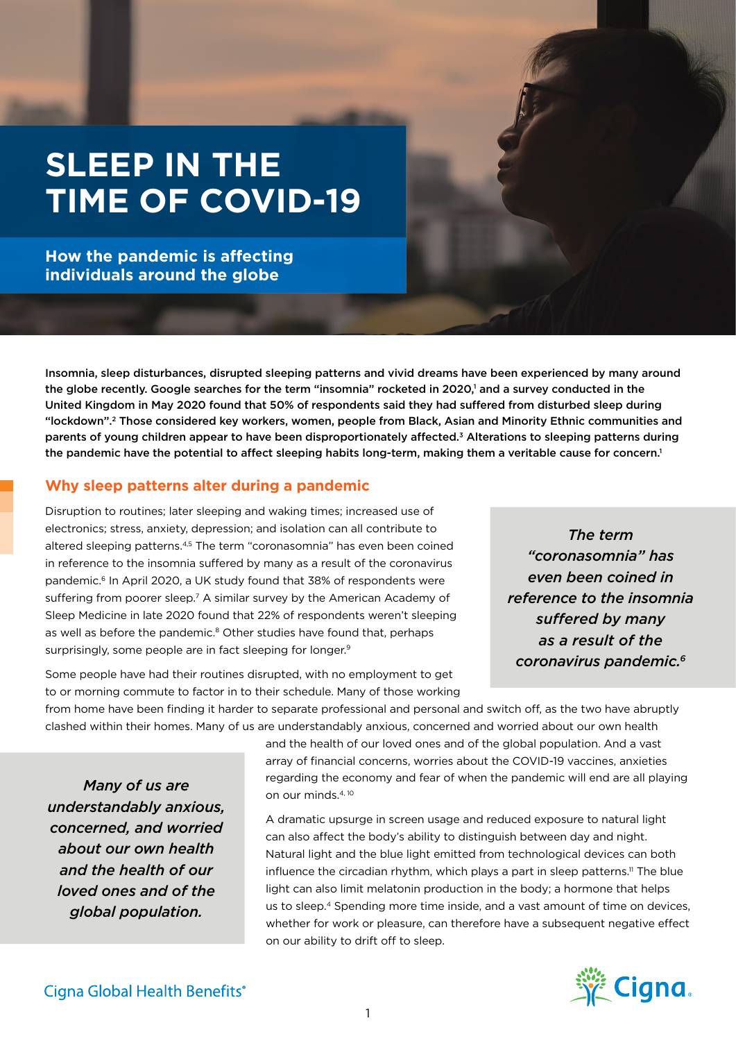# **SLEEP IN THE TIME OF COVID-19**

**How the pandemic is affecting individuals around the globe**

Insomnia, sleep disturbances, disrupted sleeping patterns and vivid dreams have been experienced by many around the globe recently. Google searches for the term "insomnia" rocketed in 2020,<sup>1</sup> and a survey conducted in the United Kingdom in May 2020 found that 50% of respondents said they had suffered from disturbed sleep during "lockdown".2 Those considered key workers, women, people from Black, Asian and Minority Ethnic communities and parents of young children appear to have been disproportionately affected.3 Alterations to sleeping patterns during the pandemic have the potential to affect sleeping habits long-term, making them a veritable cause for concern.<sup>1</sup>

# **Why sleep patterns alter during a pandemic**

Disruption to routines; later sleeping and waking times; increased use of electronics; stress, anxiety, depression; and isolation can all contribute to altered sleeping patterns.4,5 The term "coronasomnia" has even been coined in reference to the insomnia suffered by many as a result of the coronavirus pandemic.<sup>6</sup> In April 2020, a UK study found that 38% of respondents were suffering from poorer sleep.<sup>7</sup> A similar survey by the American Academy of Sleep Medicine in late 2020 found that 22% of respondents weren't sleeping as well as before the pandemic.<sup>8</sup> Other studies have found that, perhaps surprisingly, some people are in fact sleeping for longer.<sup>9</sup>

*The term "coronasomnia" has even been coined in reference to the insomnia suffered by many as a result of the coronavirus pandemic.6*

Some people have had their routines disrupted, with no employment to get to or morning commute to factor in to their schedule. Many of those working

from home have been finding it harder to separate professional and personal and switch off, as the two have abruptly clashed within their homes. Many of us are understandably anxious, concerned and worried about our own health

*Many of us are understandably anxious, concerned, and worried about our own health and the health of our loved ones and of the global population.* 

and the health of our loved ones and of the global population. And a vast array of financial concerns, worries about the COVID-19 vaccines, anxieties regarding the economy and fear of when the pandemic will end are all playing on our minds.4, 10

A dramatic upsurge in screen usage and reduced exposure to natural light can also affect the body's ability to distinguish between day and night. Natural light and the blue light emitted from technological devices can both influence the circadian rhythm, which plays a part in sleep patterns.<sup>11</sup> The blue light can also limit melatonin production in the body; a hormone that helps us to sleep.4 Spending more time inside, and a vast amount of time on devices, whether for work or pleasure, can therefore have a subsequent negative effect on our ability to drift off to sleep.

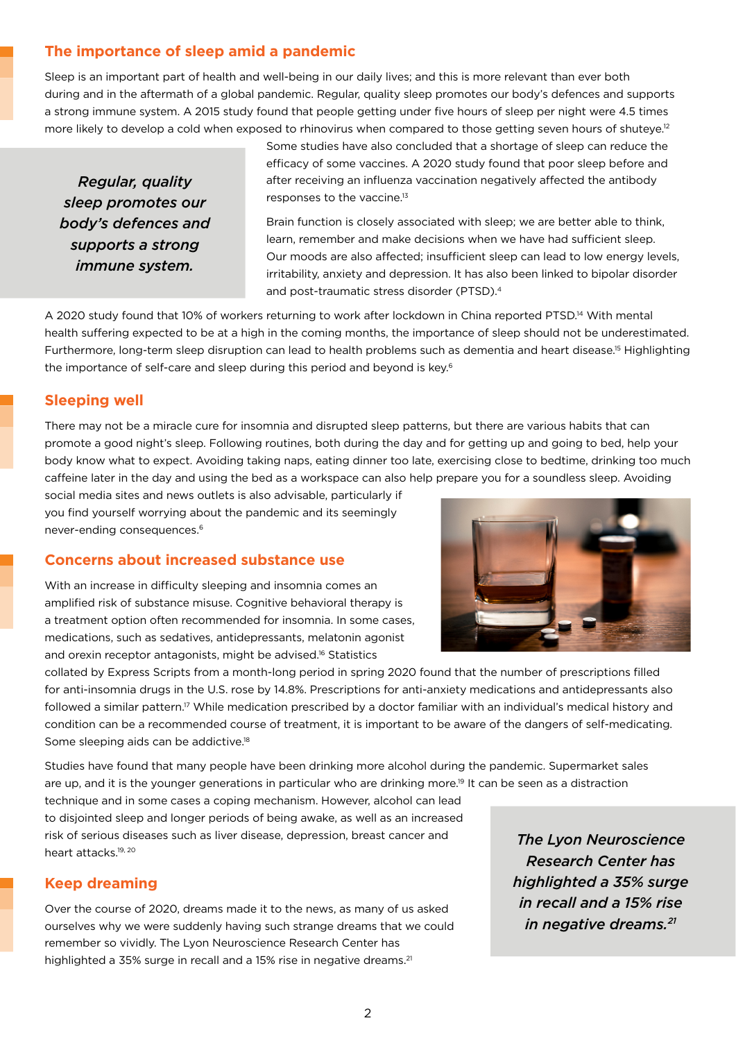# **The importance of sleep amid a pandemic**

Sleep is an important part of health and well-being in our daily lives; and this is more relevant than ever both during and in the aftermath of a global pandemic. Regular, quality sleep promotes our body's defences and supports a strong immune system. A 2015 study found that people getting under five hours of sleep per night were 4.5 times more likely to develop a cold when exposed to rhinovirus when compared to those getting seven hours of shuteye.<sup>12</sup>

*Regular, quality sleep promotes our body's defences and supports a strong immune system.*

Some studies have also concluded that a shortage of sleep can reduce the efficacy of some vaccines. A 2020 study found that poor sleep before and after receiving an influenza vaccination negatively affected the antibody responses to the vaccine.13

Brain function is closely associated with sleep; we are better able to think, learn, remember and make decisions when we have had sufficient sleep. Our moods are also affected; insufficient sleep can lead to low energy levels, irritability, anxiety and depression. It has also been linked to bipolar disorder and post-traumatic stress disorder (PTSD).4

A 2020 study found that 10% of workers returning to work after lockdown in China reported PTSD.14 With mental health suffering expected to be at a high in the coming months, the importance of sleep should not be underestimated. Furthermore, long-term sleep disruption can lead to health problems such as dementia and heart disease.15 Highlighting the importance of self-care and sleep during this period and beyond is key.6

### **Sleeping well**

There may not be a miracle cure for insomnia and disrupted sleep patterns, but there are various habits that can promote a good night's sleep. Following routines, both during the day and for getting up and going to bed, help your body know what to expect. Avoiding taking naps, eating dinner too late, exercising close to bedtime, drinking too much caffeine later in the day and using the bed as a workspace can also help prepare you for a soundless sleep. Avoiding

social media sites and news outlets is also advisable, particularly if you find yourself worrying about the pandemic and its seemingly never-ending consequences.6

#### **Concerns about increased substance use**

With an increase in difficulty sleeping and insomnia comes an amplified risk of substance misuse. Cognitive behavioral therapy is a treatment option often recommended for insomnia. In some cases, medications, such as sedatives, antidepressants, melatonin agonist and orexin receptor antagonists, might be advised.<sup>16</sup> Statistics



collated by Express Scripts from a month-long period in spring 2020 found that the number of prescriptions filled for anti-insomnia drugs in the U.S. rose by 14.8%. Prescriptions for anti-anxiety medications and antidepressants also followed a similar pattern.<sup>17</sup> While medication prescribed by a doctor familiar with an individual's medical history and condition can be a recommended course of treatment, it is important to be aware of the dangers of self-medicating. Some sleeping aids can be addictive.<sup>18</sup>

Studies have found that many people have been drinking more alcohol during the pandemic. Supermarket sales are up, and it is the younger generations in particular who are drinking more.<sup>19</sup> It can be seen as a distraction

technique and in some cases a coping mechanism. However, alcohol can lead to disjointed sleep and longer periods of being awake, as well as an increased risk of serious diseases such as liver disease, depression, breast cancer and heart attacks.<sup>19, 20</sup>

#### **Keep dreaming**

Over the course of 2020, dreams made it to the news, as many of us asked ourselves why we were suddenly having such strange dreams that we could remember so vividly. The Lyon Neuroscience Research Center has highlighted a 35% surge in recall and a 15% rise in negative dreams.<sup>21</sup>

*The Lyon Neuroscience Research Center has highlighted a 35% surge in recall and a 15% rise in negative dreams.21*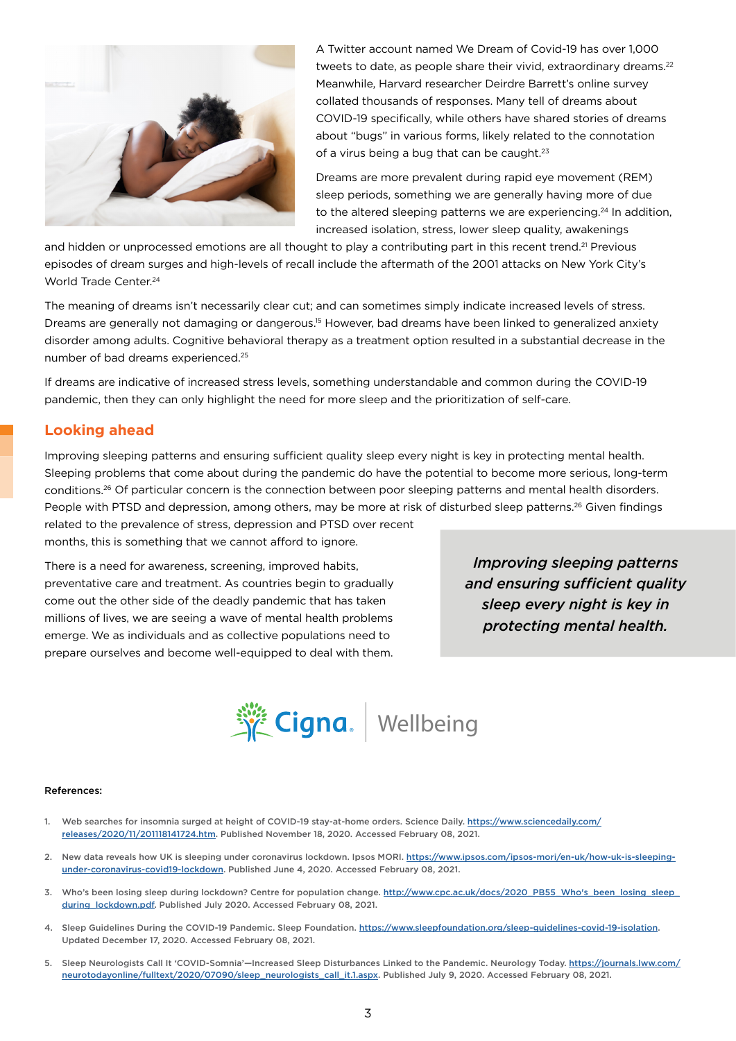

A Twitter account named We Dream of Covid-19 has over 1,000 tweets to date, as people share their vivid, extraordinary dreams.<sup>22</sup> Meanwhile, Harvard researcher Deirdre Barrett's online survey collated thousands of responses. Many tell of dreams about COVID-19 specifically, while others have shared stories of dreams about "bugs" in various forms, likely related to the connotation of a virus being a bug that can be caught.<sup>23</sup>

Dreams are more prevalent during rapid eye movement (REM) sleep periods, something we are generally having more of due to the altered sleeping patterns we are experiencing.<sup>24</sup> In addition, increased isolation, stress, lower sleep quality, awakenings

and hidden or unprocessed emotions are all thought to play a contributing part in this recent trend.<sup>21</sup> Previous episodes of dream surges and high-levels of recall include the aftermath of the 2001 attacks on New York City's World Trade Center<sup>24</sup>

The meaning of dreams isn't necessarily clear cut; and can sometimes simply indicate increased levels of stress. Dreams are generally not damaging or dangerous.15 However, bad dreams have been linked to generalized anxiety disorder among adults. Cognitive behavioral therapy as a treatment option resulted in a substantial decrease in the number of bad dreams experienced.25

If dreams are indicative of increased stress levels, something understandable and common during the COVID-19 pandemic, then they can only highlight the need for more sleep and the prioritization of self-care.

#### **Looking ahead**

Improving sleeping patterns and ensuring sufficient quality sleep every night is key in protecting mental health. Sleeping problems that come about during the pandemic do have the potential to become more serious, long-term conditions.26 Of particular concern is the connection between poor sleeping patterns and mental health disorders. People with PTSD and depression, among others, may be more at risk of disturbed sleep patterns.<sup>26</sup> Given findings

related to the prevalence of stress, depression and PTSD over recent months, this is something that we cannot afford to ignore.

There is a need for awareness, screening, improved habits, preventative care and treatment. As countries begin to gradually come out the other side of the deadly pandemic that has taken millions of lives, we are seeing a wave of mental health problems emerge. We as individuals and as collective populations need to prepare ourselves and become well-equipped to deal with them.

*Improving sleeping patterns and ensuring sufficient quality sleep every night is key in protecting mental health.*



#### References:

- 1. Web searches for insomnia surged at height of COVID-19 stay-at-home orders. Science Daily. [https://www.sciencedaily.com/](https://www.sciencedaily.com/releases/2020/11/201118141724.htm) [releases/2020/11/201118141724.htm](https://www.sciencedaily.com/releases/2020/11/201118141724.htm). Published November 18, 2020. Accessed February 08, 2021.
- 2. New data reveals how UK is sleeping under coronavirus lockdown. Ipsos MORI. [https://www.ipsos.com/ipsos-mori/en-uk/how-uk-is-sleeping](https://www.ipsos.com/ipsos-mori/en-uk/how-uk-is-sleeping-under-coronavirus-covid19-lockdown)[under-coronavirus-covid19-lockdown.](https://www.ipsos.com/ipsos-mori/en-uk/how-uk-is-sleeping-under-coronavirus-covid19-lockdown) Published June 4, 2020. Accessed February 08, 2021.
- 3. Who's been losing sleep during lockdown? Centre for population change. [http://www.cpc.ac.uk/docs/2020\\_PB55\\_Who's\\_been\\_losing\\_sleep\\_](http://www.cpc.ac.uk/docs/2020_PB55_Who) [during\\_lockdown.pdf.](http://www.cpc.ac.uk/docs/2020_PB55_Who) Published July 2020. Accessed February 08, 2021.
- 4. Sleep Guidelines During the COVID-19 Pandemic. Sleep Foundation. <https://www.sleepfoundation.org/sleep-guidelines-covid-19-isolation>. Updated December 17, 2020. Accessed February 08, 2021.
- 5. Sleep Neurologists Call It 'COVID-Somnia'—Increased Sleep Disturbances Linked to the Pandemic. Neurology Today. [https://journals.lww.com/](https://journals.lww.com/neurotodayonline/fulltext/2020/07090/sleep_neurologists_call_it.1.aspx) [neurotodayonline/fulltext/2020/07090/sleep\\_neurologists\\_call\\_it.1.aspx.](https://journals.lww.com/neurotodayonline/fulltext/2020/07090/sleep_neurologists_call_it.1.aspx) Published July 9, 2020. Accessed February 08, 2021.